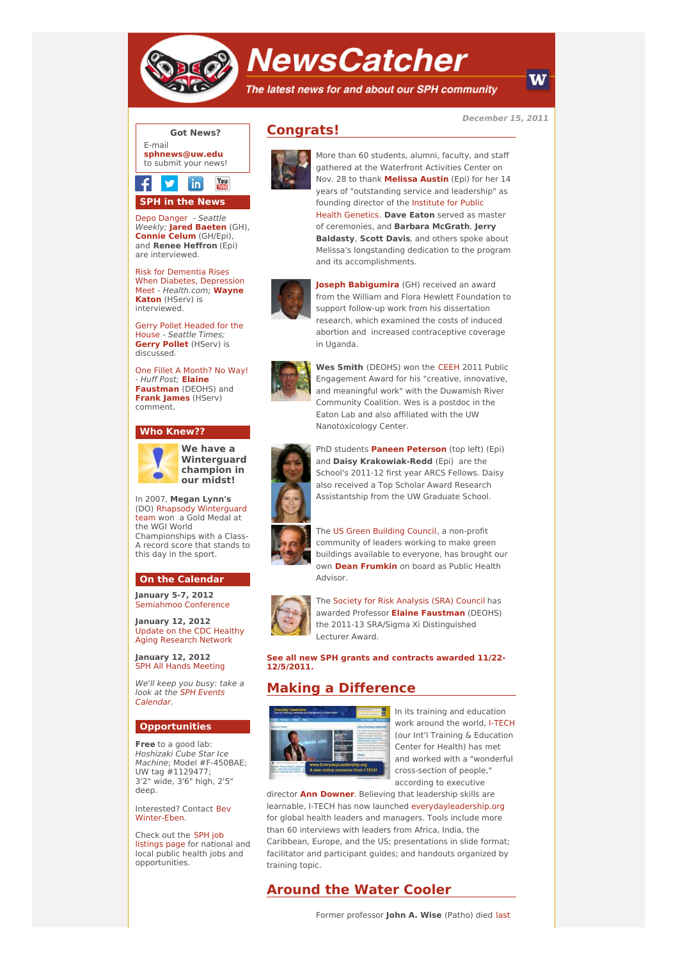

# **NewsCatcher**

The latest news for and about our SPH community

**December 15, 2011**



# **SPH in the News**

Depo [Danger](http://engage.washington.edu/site/R?i=wetsp_F4F2K4ACaRNu6cRA) - Seattle Weekly; **Jared [Baeten](http://engage.washington.edu/site/R?i=1cKggJxgdY8lAP6ygeowYQ)** (GH), **[Connie](http://engage.washington.edu/site/R?i=ZRrd2OG17lBSt6MoyikPOQ) Celum** (GH/Epi), and **Renee Heffron** (Epi) are interviewed.

Risk for Dementia Rises When Diabetes, Depression Meet - [Health.com;](http://engage.washington.edu/site/R?i=qrU0pIYN6gnspA-6Eor8jQ) **Wayne Katon** (HServ) is interviewed.

Gerry Pollet [Headed](http://engage.washington.edu/site/R?i=nF-HRtSfg59wTTSTSWx4-A) for the House - Seattle Times; **[Gerry](http://engage.washington.edu/site/R?i=DUkvHB47g7YhfvZPV1ti9Q) Pollet** (HServ) is discussed.

One Fillet A [Month?](http://engage.washington.edu/site/R?i=FKr47C6gr17ISsiEguOwMg) No Way! - Huff Post; **Elaine [Faustman](http://engage.washington.edu/site/R?i=_RgZJlpm6apy6SQQU_W40Q)** (DEOHS) and **Frank [James](http://engage.washington.edu/site/R?i=l8YBwHb90YVUaRomUHgpgg)** (HServ) comment.

#### **Who Knew??**



**We have a Winterguard champion in our midst!**

In 2007, **Megan Lynn's** (DO) Rhapsody [Winterguard](http://engage.washington.edu/site/R?i=CvHiqb8N5xxgCSHYsBixiQ) team won a Gold Medal at the WGI World Championships with a Class-A record score that stands to this day in the sport.

#### **On the Calendar**

**January 5-7, 2012** [Semiahmoo](http://engage.washington.edu/site/R?i=J2uEBlZKBNknJB2vgMD1mg) Conference

**January 12, 2012** Update on the CDC Healthy Aging [Research](http://engage.washington.edu/site/R?i=kUVDL9kS_XK2uU9KlSv03A) Network

**January 12, 2012** SPH All Hands [Meeting](http://engage.washington.edu/site/R?i=pYgZ3GU-3y0e73c8trKRQg)

We'll keep you busy: take a look at the SPH Events [Calendar.](http://engage.washington.edu/site/R?i=6HCoT7MHUkrDPRWGvchyMw)

#### **Opportunities**

**Free** to a good lab: Hoshizaki Cube Star Ice Machine; Model #F-450BAE; UW tag #1129477; 3'2" wide, 3'6" high, 2'5" deep.

Interested? Contact Bev [Winter-Eben.](mailto:wintereb@u.washington.edu)

Check out the SPH job [listings](http://engage.washington.edu/site/R?i=9RreUX7rNQ9VbesaDizqBw) page for national and local public health jobs and opportunities.





More than 60 students, alumni, faculty, and staff gathered at the Waterfront Activities Center on Nov. 28 to thank **[Melissa](http://engage.washington.edu/site/R?i=MCKsr4ezBJq8zNPPWJfA7g) Austin** (Epi) for her 14 years of "outstanding service and leadership" as founding director of the Institute for Public Health [Genetics.](http://engage.washington.edu/site/R?i=0dDbLCEgsu1BnUjOKJR6ww) **Dave Eaton** served as master of ceremonies, and **Barbara McGrath**, **Jerry Baldasty**, **Scott Davis**, and others spoke about Melissa's longstanding dedication to the program and its accomplishments.



**Joseph [Babigumira](http://engage.washington.edu/site/R?i=9sFCN8VYeelO-E7wKFDnPw)** (GH) received an award from the William and Flora Hewlett Foundation to support follow-up work from his dissertation research, which examined the costs of induced abortion and increased contraceptive coverage in Uganda.



**Wes Smith** (DEOHS) won the [CEEH](http://engage.washington.edu/site/R?i=upmheR80mDZFhVRuuv_99w) 2011 Public Engagement Award for his "creative, innovative, and meaningful work" with the Duwamish River Community Coalition. Wes is a postdoc in the Eaton Lab and also affiliated with the UW Nanotoxicology Center.



PhD students **Paneen [Peterson](http://engage.washington.edu/site/R?i=e107DOxZWicX2viZqa4f1A)** (top left) (Epi) and **Daisy Krakowiak-Redd** (Epi) are the School's 2011-12 first year ARCS Fellows. Daisy also received a Top Scholar Award Research Assistantship from the UW Graduate School.





The Society for Risk [Analysis](http://engage.washington.edu/site/R?i=g5sq0S67oOAvOPTlC8LzPg) (SRA) Council has awarded Professor **Elaine [Faustman](http://engage.washington.edu/site/R?i=a6GUZB7OaARut5UzATaKkA)** (DEOHS) the 2011-13 SRA/Sigma Xi Distinguished Lecturer Award.

**See all new SPH grants and [contracts](http://engage.washington.edu/site/R?i=mciREmrsdhfaxDZTVbT-zg) awarded 11/22- 12/5/2011.**

## **Making a Difference**



In its training and education work around the world, [I-TECH](http://engage.washington.edu/site/R?i=GrhJHSKZXPPT2HonDru8sg) (our Int'l Training & Education Center for Health) has met and worked with a "wonderful cross-section of people," according to executive

director **Ann [Downer](http://engage.washington.edu/site/R?i=1IMDX2Ux4kNMyv5dYcWjMw)**. Believing that leadership skills are learnable, I-TECH has now launched [everydayleadership.org](http://engage.washington.edu/site/R?i=xhHwAkeM-6862Nt2rn0KDQ) for global health leaders and managers. Tools include more than 60 interviews with leaders from Africa, India, the Caribbean, Europe, and the US; presentations in slide format; facilitator and participant guides; and handouts organized by training topic.

### **Around the Water Cooler**

W